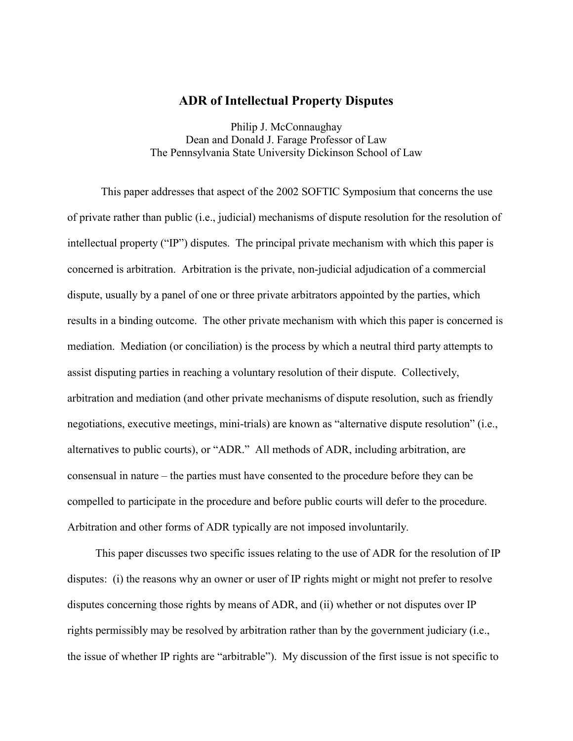## **ADR of Intellectual Property Disputes**

Philip J. McConnaughay Dean and Donald J. Farage Professor of Law The Pennsylvania State University Dickinson School of Law

 This paper addresses that aspect of the 2002 SOFTIC Symposium that concerns the use of private rather than public (i.e., judicial) mechanisms of dispute resolution for the resolution of intellectual property ("IP") disputes. The principal private mechanism with which this paper is concerned is arbitration. Arbitration is the private, non-judicial adjudication of a commercial dispute, usually by a panel of one or three private arbitrators appointed by the parties, which results in a binding outcome. The other private mechanism with which this paper is concerned is mediation. Mediation (or conciliation) is the process by which a neutral third party attempts to assist disputing parties in reaching a voluntary resolution of their dispute. Collectively, arbitration and mediation (and other private mechanisms of dispute resolution, such as friendly negotiations, executive meetings, mini-trials) are known as "alternative dispute resolution" (i.e., alternatives to public courts), or "ADR." All methods of ADR, including arbitration, are consensual in nature – the parties must have consented to the procedure before they can be compelled to participate in the procedure and before public courts will defer to the procedure. Arbitration and other forms of ADR typically are not imposed involuntarily.

 This paper discusses two specific issues relating to the use of ADR for the resolution of IP disputes: (i) the reasons why an owner or user of IP rights might or might not prefer to resolve disputes concerning those rights by means of ADR, and (ii) whether or not disputes over IP rights permissibly may be resolved by arbitration rather than by the government judiciary (i.e., the issue of whether IP rights are "arbitrable"). My discussion of the first issue is not specific to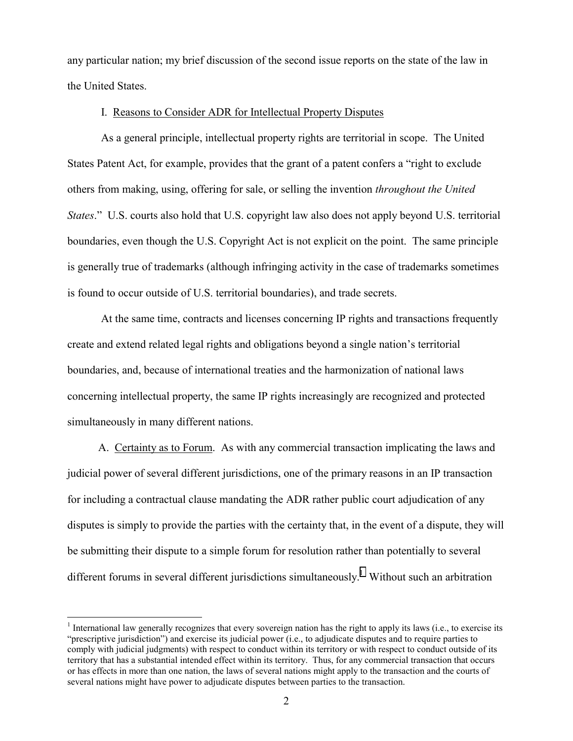any particular nation; my brief discussion of the second issue reports on the state of the law in the United States.

## I. Reasons to Consider ADR for Intellectual Property Disputes

 As a general principle, intellectual property rights are territorial in scope. The United States Patent Act, for example, provides that the grant of a patent confers a "right to exclude others from making, using, offering for sale, or selling the invention *throughout the United States.*" U.S. courts also hold that U.S. copyright law also does not apply beyond U.S. territorial boundaries, even though the U.S. Copyright Act is not explicit on the point. The same principle is generally true of trademarks (although infringing activity in the case of trademarks sometimes is found to occur outside of U.S. territorial boundaries), and trade secrets.

 At the same time, contracts and licenses concerning IP rights and transactions frequently create and extend related legal rights and obligations beyond a single nation's territorial boundaries, and, because of international treaties and the harmonization of national laws concerning intellectual property, the same IP rights increasingly are recognized and protected simultaneously in many different nations.

 A. Certainty as to Forum. As with any commercial transaction implicating the laws and judicial power of several different jurisdictions, one of the primary reasons in an IP transaction for including a contractual clause mandating the ADR rather public court adjudication of any disputes is simply to provide the parties with the certainty that, in the event of a dispute, they will be submitting their dispute to a simple forum for resolution rather than potentially to several different forums in several different jurisdictions simultaneously.<sup>1</sup> Without such an arbitration

 $\overline{a}$ 

 $1$  International law generally recognizes that every sovereign nation has the right to apply its laws (i.e., to exercise its "prescriptive jurisdiction") and exercise its judicial power (i.e., to adjudicate disputes and to require parties to comply with judicial judgments) with respect to conduct within its territory or with respect to conduct outside of its territory that has a substantial intended effect within its territory. Thus, for any commercial transaction that occurs or has effects in more than one nation, the laws of several nations might apply to the transaction and the courts of several nations might have power to adjudicate disputes between parties to the transaction.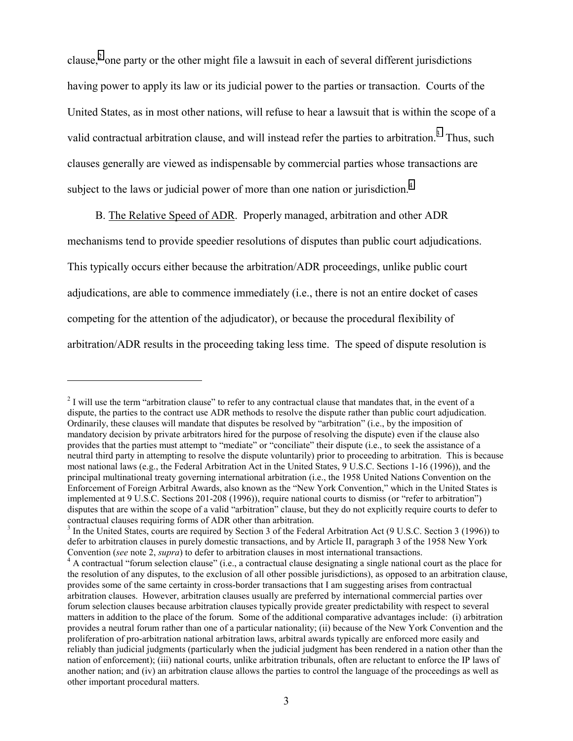clause,<sup>2</sup> one party or the other might file a lawsuit in each of several different jurisdictions having power to apply its law or its judicial power to the parties or transaction. Courts of the United States, as in most other nations, will refuse to hear a lawsuit that is within the scope of a valid contractual arbitration clause, and will instead refer the parties to arbitration.<sup>3</sup> Thus, such clauses generally are viewed as indispensable by commercial parties whose transactions are subject to the laws or judicial power of more than one nation or jurisdiction.<sup>4</sup>

 B. The Relative Speed of ADR. Properly managed, arbitration and other ADR mechanisms tend to provide speedier resolutions of disputes than public court adjudications. This typically occurs either because the arbitration/ADR proceedings, unlike public court adjudications, are able to commence immediately (i.e., there is not an entire docket of cases competing for the attention of the adjudicator), or because the procedural flexibility of arbitration/ADR results in the proceeding taking less time. The speed of dispute resolution is

<u>.</u>

 $2^{2}$  I will use the term "arbitration clause" to refer to any contractual clause that mandates that, in the event of a dispute, the parties to the contract use ADR methods to resolve the dispute rather than public court adjudication. Ordinarily, these clauses will mandate that disputes be resolved by "arbitration" (i.e., by the imposition of mandatory decision by private arbitrators hired for the purpose of resolving the dispute) even if the clause also provides that the parties must attempt to "mediate" or "conciliate" their dispute (i.e., to seek the assistance of a neutral third party in attempting to resolve the dispute voluntarily) prior to proceeding to arbitration. This is because most national laws (e.g., the Federal Arbitration Act in the United States, 9 U.S.C. Sections 1-16 (1996)), and the principal multinational treaty governing international arbitration (i.e., the 1958 United Nations Convention on the Enforcement of Foreign Arbitral Awards, also known as the "New York Convention," which in the United States is implemented at 9 U.S.C. Sections 201-208 (1996)), require national courts to dismiss (or "refer to arbitration") disputes that are within the scope of a valid "arbitration" clause, but they do not explicitly require courts to defer to contractual clauses requiring forms of ADR other than arbitration.

 $3 \text{ In the United States, courts are required by Section 3 of the Federal Arbitration, and (9 U.S.C. Section 3 (1996)) to the same data.}$ defer to arbitration clauses in purely domestic transactions, and by Article II, paragraph 3 of the 1958 New York Convention (*see* note 2, *supra*) to defer to arbitration clauses in most international transactions. 4

<sup>&</sup>lt;sup>4</sup> A contractual "forum selection clause" (i.e., a contractual clause designating a single national court as the place for the resolution of any disputes, to the exclusion of all other possible jurisdictions), as opposed to an arbitration clause, provides some of the same certainty in cross-border transactions that I am suggesting arises from contractual arbitration clauses. However, arbitration clauses usually are preferred by international commercial parties over forum selection clauses because arbitration clauses typically provide greater predictability with respect to several matters in addition to the place of the forum. Some of the additional comparative advantages include: (i) arbitration provides a neutral forum rather than one of a particular nationality; (ii) because of the New York Convention and the proliferation of pro-arbitration national arbitration laws, arbitral awards typically are enforced more easily and reliably than judicial judgments (particularly when the judicial judgment has been rendered in a nation other than the nation of enforcement); (iii) national courts, unlike arbitration tribunals, often are reluctant to enforce the IP laws of another nation; and (iv) an arbitration clause allows the parties to control the language of the proceedings as well as other important procedural matters.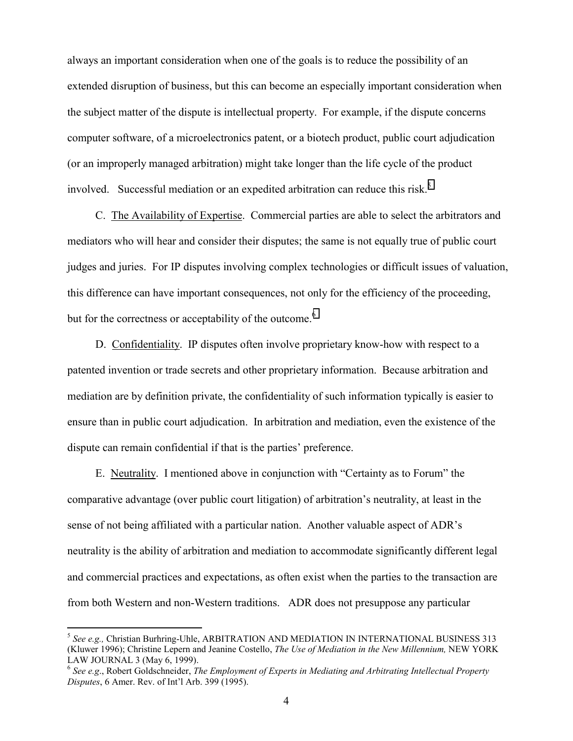always an important consideration when one of the goals is to reduce the possibility of an extended disruption of business, but this can become an especially important consideration when the subject matter of the dispute is intellectual property. For example, if the dispute concerns computer software, of a microelectronics patent, or a biotech product, public court adjudication (or an improperly managed arbitration) might take longer than the life cycle of the product involved. Successful mediation or an expedited arbitration can reduce this risk.<sup>5</sup>

 C. The Availability of Expertise. Commercial parties are able to select the arbitrators and mediators who will hear and consider their disputes; the same is not equally true of public court judges and juries. For IP disputes involving complex technologies or difficult issues of valuation, this difference can have important consequences, not only for the efficiency of the proceeding, but for the correctness or acceptability of the outcome.<sup>6</sup>

 D. Confidentiality. IP disputes often involve proprietary know-how with respect to a patented invention or trade secrets and other proprietary information. Because arbitration and mediation are by definition private, the confidentiality of such information typically is easier to ensure than in public court adjudication. In arbitration and mediation, even the existence of the dispute can remain confidential if that is the parties' preference.

 E. Neutrality. I mentioned above in conjunction with "Certainty as to Forum" the comparative advantage (over public court litigation) of arbitration's neutrality, at least in the sense of not being affiliated with a particular nation. Another valuable aspect of ADR's neutrality is the ability of arbitration and mediation to accommodate significantly different legal and commercial practices and expectations, as often exist when the parties to the transaction are from both Western and non-Western traditions. ADR does not presuppose any particular

 $\overline{a}$ 

<sup>5</sup> *See e.g.,* Christian Burhring-Uhle, ARBITRATION AND MEDIATION IN INTERNATIONAL BUSINESS 313 (Kluwer 1996); Christine Lepern and Jeanine Costello, *The Use of Mediation in the New Millennium,* NEW YORK LAW JOURNAL 3 (May 6, 1999).

<sup>6</sup> *See e.g*., Robert Goldschneider, *The Employment of Experts in Mediating and Arbitrating Intellectual Property Disputes*, 6 Amer. Rev. of Int'l Arb. 399 (1995).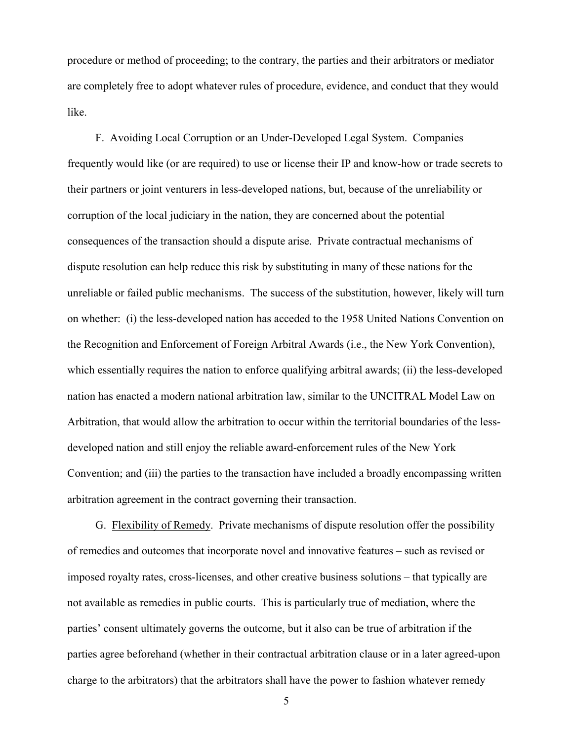procedure or method of proceeding; to the contrary, the parties and their arbitrators or mediator are completely free to adopt whatever rules of procedure, evidence, and conduct that they would like.

 F. Avoiding Local Corruption or an Under-Developed Legal System. Companies frequently would like (or are required) to use or license their IP and know-how or trade secrets to their partners or joint venturers in less-developed nations, but, because of the unreliability or corruption of the local judiciary in the nation, they are concerned about the potential consequences of the transaction should a dispute arise. Private contractual mechanisms of dispute resolution can help reduce this risk by substituting in many of these nations for the unreliable or failed public mechanisms. The success of the substitution, however, likely will turn on whether: (i) the less-developed nation has acceded to the 1958 United Nations Convention on the Recognition and Enforcement of Foreign Arbitral Awards (i.e., the New York Convention), which essentially requires the nation to enforce qualifying arbitral awards; (ii) the less-developed nation has enacted a modern national arbitration law, similar to the UNCITRAL Model Law on Arbitration, that would allow the arbitration to occur within the territorial boundaries of the lessdeveloped nation and still enjoy the reliable award-enforcement rules of the New York Convention; and (iii) the parties to the transaction have included a broadly encompassing written arbitration agreement in the contract governing their transaction.

 G. Flexibility of Remedy. Private mechanisms of dispute resolution offer the possibility of remedies and outcomes that incorporate novel and innovative features – such as revised or imposed royalty rates, cross-licenses, and other creative business solutions – that typically are not available as remedies in public courts. This is particularly true of mediation, where the parties' consent ultimately governs the outcome, but it also can be true of arbitration if the parties agree beforehand (whether in their contractual arbitration clause or in a later agreed-upon charge to the arbitrators) that the arbitrators shall have the power to fashion whatever remedy

5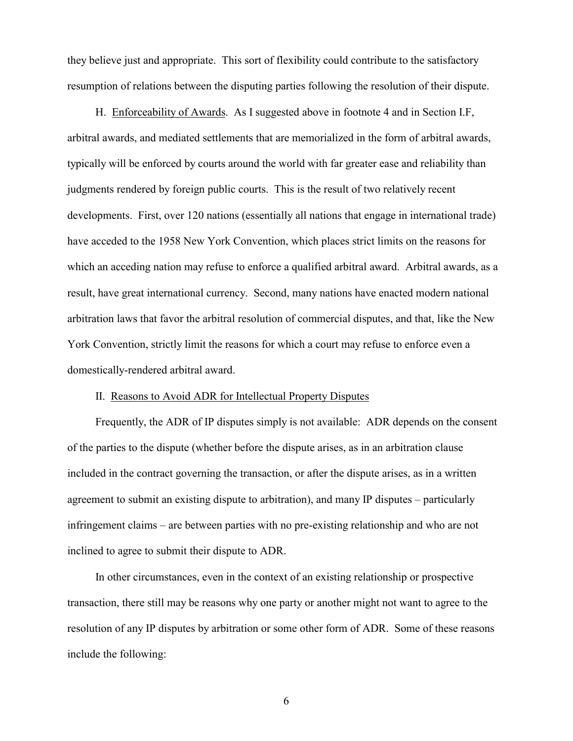they believe just and appropriate. This sort of flexibility could contribute to the satisfactory resumption of relations between the disputing parties following the resolution of their dispute.

 H. Enforceability of Awards. As I suggested above in footnote 4 and in Section I.F, arbitral awards, and mediated settlements that are memorialized in the form of arbitral awards, typically will be enforced by courts around the world with far greater ease and reliability than judgments rendered by foreign public courts. This is the result of two relatively recent developments. First, over 120 nations (essentially all nations that engage in international trade) have acceded to the 1958 New York Convention, which places strict limits on the reasons for which an acceding nation may refuse to enforce a qualified arbitral award. Arbitral awards, as a result, have great international currency. Second, many nations have enacted modern national arbitration laws that favor the arbitral resolution of commercial disputes, and that, like the New York Convention, strictly limit the reasons for which a court may refuse to enforce even a domestically-rendered arbitral award.

## II. Reasons to Avoid ADR for Intellectual Property Disputes

 Frequently, the ADR of IP disputes simply is not available: ADR depends on the consent of the parties to the dispute (whether before the dispute arises, as in an arbitration clause included in the contract governing the transaction, or after the dispute arises, as in a written agreement to submit an existing dispute to arbitration), and many IP disputes – particularly infringement claims – are between parties with no pre-existing relationship and who are not inclined to agree to submit their dispute to ADR.

 In other circumstances, even in the context of an existing relationship or prospective transaction, there still may be reasons why one party or another might not want to agree to the resolution of any IP disputes by arbitration or some other form of ADR. Some of these reasons include the following: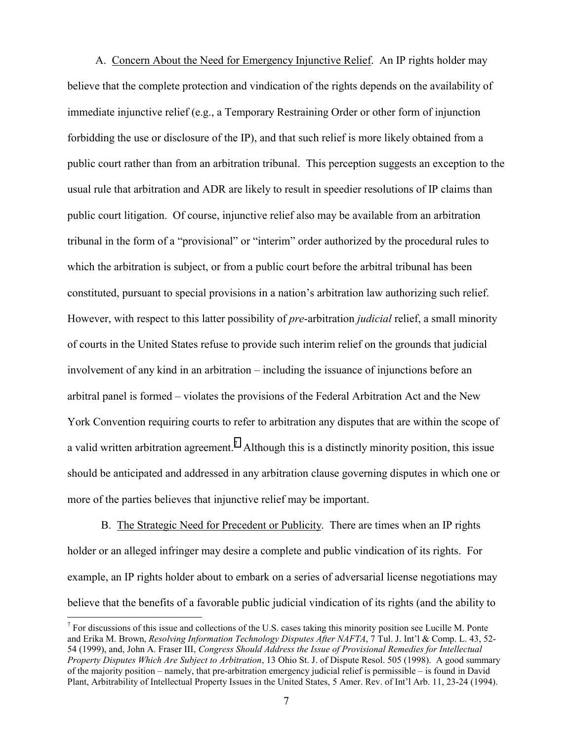A. Concern About the Need for Emergency Injunctive Relief. An IP rights holder may believe that the complete protection and vindication of the rights depends on the availability of immediate injunctive relief (e.g., a Temporary Restraining Order or other form of injunction forbidding the use or disclosure of the IP), and that such relief is more likely obtained from a public court rather than from an arbitration tribunal. This perception suggests an exception to the usual rule that arbitration and ADR are likely to result in speedier resolutions of IP claims than public court litigation. Of course, injunctive relief also may be available from an arbitration tribunal in the form of a "provisional" or "interim" order authorized by the procedural rules to which the arbitration is subject, or from a public court before the arbitral tribunal has been constituted, pursuant to special provisions in a nation's arbitration law authorizing such relief. However, with respect to this latter possibility of *pre*-arbitration *judicial* relief, a small minority of courts in the United States refuse to provide such interim relief on the grounds that judicial involvement of any kind in an arbitration – including the issuance of injunctions before an arbitral panel is formed – violates the provisions of the Federal Arbitration Act and the New York Convention requiring courts to refer to arbitration any disputes that are within the scope of a valid written arbitration agreement.<sup>7</sup> Although this is a distinctly minority position, this issue should be anticipated and addressed in any arbitration clause governing disputes in which one or more of the parties believes that injunctive relief may be important.

 B. The Strategic Need for Precedent or Publicity. There are times when an IP rights holder or an alleged infringer may desire a complete and public vindication of its rights. For example, an IP rights holder about to embark on a series of adversarial license negotiations may believe that the benefits of a favorable public judicial vindication of its rights (and the ability to

1

 $<sup>7</sup>$  For discussions of this issue and collections of the U.S. cases taking this minority position see Lucille M. Ponte</sup> and Erika M. Brown, *Resolving Information Technology Disputes After NAFTA*, 7 Tul. J. Int'l & Comp. L. 43, 52- 54 (1999), and, John A. Fraser III, *Congress Should Address the Issue of Provisional Remedies for Intellectual Property Disputes Which Are Subject to Arbitration*, 13 Ohio St. J. of Dispute Resol. 505 (1998). A good summary of the majority position – namely, that pre-arbitration emergency judicial relief is permissible – is found in David Plant, Arbitrability of Intellectual Property Issues in the United States, 5 Amer. Rev. of Int'l Arb. 11, 23-24 (1994).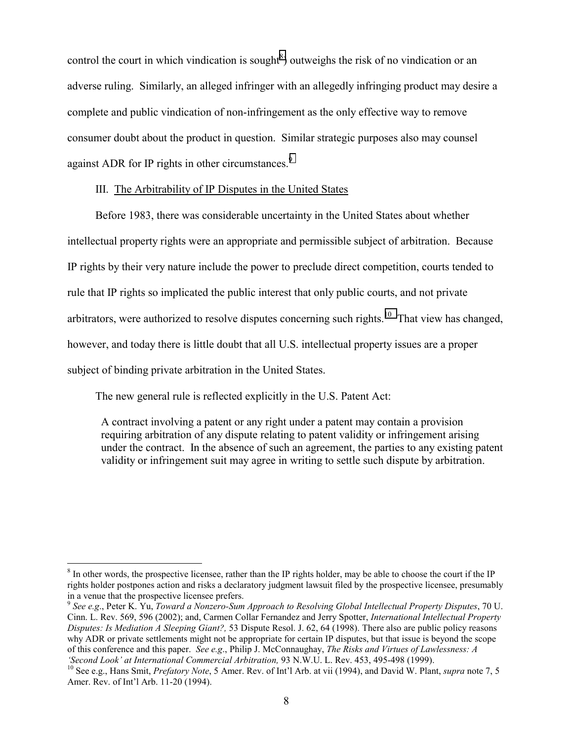control the court in which vindication is sought<sup>8</sup>) outweighs the risk of no vindication or an adverse ruling. Similarly, an alleged infringer with an allegedly infringing product may desire a complete and public vindication of non-infringement as the only effective way to remove consumer doubt about the product in question. Similar strategic purposes also may counsel against ADR for IP rights in other circumstances.<sup>9</sup>

## III. The Arbitrability of IP Disputes in the United States

 Before 1983, there was considerable uncertainty in the United States about whether intellectual property rights were an appropriate and permissible subject of arbitration. Because IP rights by their very nature include the power to preclude direct competition, courts tended to rule that IP rights so implicated the public interest that only public courts, and not private arbitrators, were authorized to resolve disputes concerning such rights.<sup>10</sup> That view has changed, however, and today there is little doubt that all U.S. intellectual property issues are a proper subject of binding private arbitration in the United States.

The new general rule is reflected explicitly in the U.S. Patent Act:

 $\overline{a}$ 

A contract involving a patent or any right under a patent may contain a provision requiring arbitration of any dispute relating to patent validity or infringement arising under the contract. In the absence of such an agreement, the parties to any existing patent validity or infringement suit may agree in writing to settle such dispute by arbitration.

 $8 \text{ In other words, the prospective license, rather than the IP rights holder, may be able to choose the court if the IP$ rights holder postpones action and risks a declaratory judgment lawsuit filed by the prospective licensee, presumably in a venue that the prospective licensee prefers.

<sup>9</sup> *See e.g*., Peter K. Yu, *Toward a Nonzero-Sum Approach to Resolving Global Intellectual Property Disputes*, 70 U. Cinn. L. Rev. 569, 596 (2002); and, Carmen Collar Fernandez and Jerry Spotter, *International Intellectual Property Disputes: Is Mediation A Sleeping Giant?,* 53 Dispute Resol. J. 62, 64 (1998). There also are public policy reasons why ADR or private settlements might not be appropriate for certain IP disputes, but that issue is beyond the scope of this conference and this paper. *See e.g*., Philip J. McConnaughay, *The Risks and Virtues of Lawlessness: A* 

<sup>&#</sup>x27;Second Look' at International Commercial Arbitration, 93 N.W.U. L. Rev. 453, 495-498 (1999).<br><sup>10</sup> See e.g., Hans Smit, *Prefatory Note*, 5 Amer. Rev. of Int'l Arb. at vii (1994), and David W. Plant, *supra* note 7, 5 Amer. Rev. of Int'l Arb. 11-20 (1994).